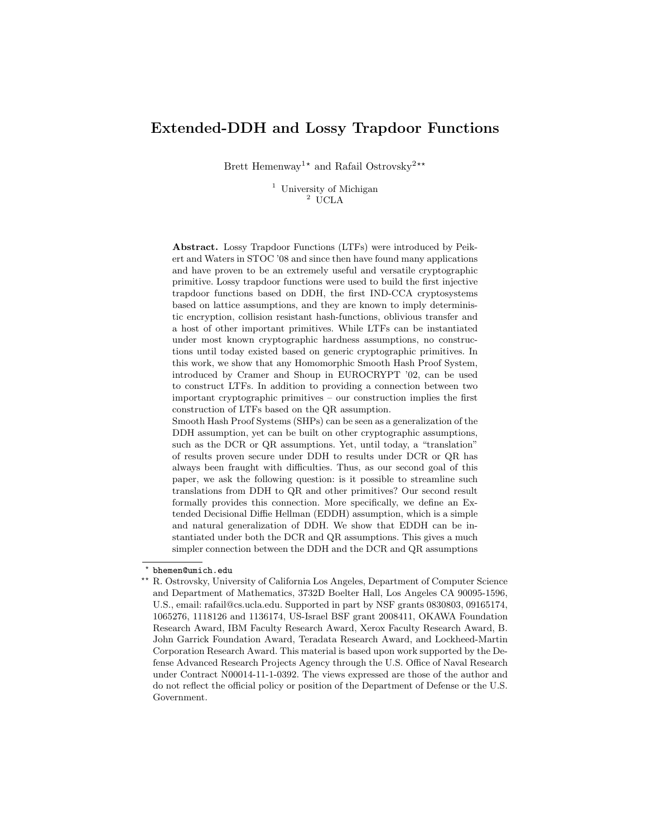# Extended-DDH and Lossy Trapdoor Functions

Brett Hemenway<sup>1\*</sup> and Rafail Ostrovsky<sup>2\*\*</sup>

<sup>1</sup> University of Michigan  $\frac{2}{2}$  UCLA

Abstract. Lossy Trapdoor Functions (LTFs) were introduced by Peikert and Waters in STOC '08 and since then have found many applications and have proven to be an extremely useful and versatile cryptographic primitive. Lossy trapdoor functions were used to build the first injective trapdoor functions based on DDH, the first IND-CCA cryptosystems based on lattice assumptions, and they are known to imply deterministic encryption, collision resistant hash-functions, oblivious transfer and a host of other important primitives. While LTFs can be instantiated under most known cryptographic hardness assumptions, no constructions until today existed based on generic cryptographic primitives. In this work, we show that any Homomorphic Smooth Hash Proof System, introduced by Cramer and Shoup in EUROCRYPT '02, can be used to construct LTFs. In addition to providing a connection between two important cryptographic primitives – our construction implies the first construction of LTFs based on the QR assumption.

Smooth Hash Proof Systems (SHPs) can be seen as a generalization of the DDH assumption, yet can be built on other cryptographic assumptions, such as the DCR or QR assumptions. Yet, until today, a "translation" of results proven secure under DDH to results under DCR or QR has always been fraught with difficulties. Thus, as our second goal of this paper, we ask the following question: is it possible to streamline such translations from DDH to QR and other primitives? Our second result formally provides this connection. More specifically, we define an Extended Decisional Diffie Hellman (EDDH) assumption, which is a simple and natural generalization of DDH. We show that EDDH can be instantiated under both the DCR and QR assumptions. This gives a much simpler connection between the DDH and the DCR and QR assumptions

<sup>\*</sup> bhemen@umich.edu

<sup>\*\*</sup> R. Ostrovsky, University of California Los Angeles, Department of Computer Science and Department of Mathematics, 3732D Boelter Hall, Los Angeles CA 90095-1596, U.S., email: rafail@cs.ucla.edu. Supported in part by NSF grants 0830803, 09165174, 1065276, 1118126 and 1136174, US-Israel BSF grant 2008411, OKAWA Foundation Research Award, IBM Faculty Research Award, Xerox Faculty Research Award, B. John Garrick Foundation Award, Teradata Research Award, and Lockheed-Martin Corporation Research Award. This material is based upon work supported by the Defense Advanced Research Projects Agency through the U.S. Office of Naval Research under Contract N00014-11-1-0392. The views expressed are those of the author and do not reflect the official policy or position of the Department of Defense or the U.S. Government.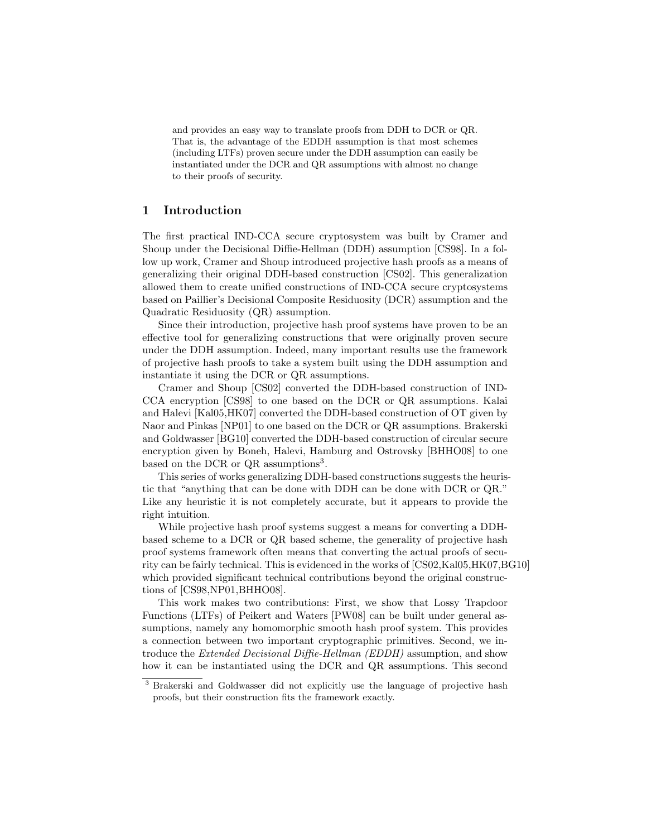and provides an easy way to translate proofs from DDH to DCR or QR. That is, the advantage of the EDDH assumption is that most schemes (including LTFs) proven secure under the DDH assumption can easily be instantiated under the DCR and QR assumptions with almost no change to their proofs of security.

# 1 Introduction

The first practical IND-CCA secure cryptosystem was built by Cramer and Shoup under the Decisional Diffie-Hellman (DDH) assumption [\[CS98\]](#page-15-0). In a follow up work, Cramer and Shoup introduced projective hash proofs as a means of generalizing their original DDH-based construction [\[CS02\]](#page-15-1). This generalization allowed them to create unified constructions of IND-CCA secure cryptosystems based on Paillier's Decisional Composite Residuosity (DCR) assumption and the Quadratic Residuosity (QR) assumption.

Since their introduction, projective hash proof systems have proven to be an effective tool for generalizing constructions that were originally proven secure under the DDH assumption. Indeed, many important results use the framework of projective hash proofs to take a system built using the DDH assumption and instantiate it using the DCR or QR assumptions.

Cramer and Shoup [\[CS02\]](#page-15-1) converted the DDH-based construction of IND-CCA encryption [\[CS98\]](#page-15-0) to one based on the DCR or QR assumptions. Kalai and Halevi [\[Kal05,](#page-16-0)[HK07\]](#page-15-2) converted the DDH-based construction of OT given by Naor and Pinkas [\[NP01\]](#page-16-1) to one based on the DCR or QR assumptions. Brakerski and Goldwasser [\[BG10\]](#page-15-3) converted the DDH-based construction of circular secure encryption given by Boneh, Halevi, Hamburg and Ostrovsky [\[BHHO08\]](#page-15-4) to one based on the DCR or QR assumptions<sup>[3](#page-1-0)</sup>.

This series of works generalizing DDH-based constructions suggests the heuristic that "anything that can be done with DDH can be done with DCR or QR." Like any heuristic it is not completely accurate, but it appears to provide the right intuition.

While projective hash proof systems suggest a means for converting a DDHbased scheme to a DCR or QR based scheme, the generality of projective hash proof systems framework often means that converting the actual proofs of security can be fairly technical. This is evidenced in the works of [\[CS02,](#page-15-1)[Kal05,](#page-16-0)[HK07,](#page-15-2)[BG10\]](#page-15-3) which provided significant technical contributions beyond the original constructions of [\[CS98,](#page-15-0)[NP01,](#page-16-1)[BHHO08\]](#page-15-4).

This work makes two contributions: First, we show that Lossy Trapdoor Functions (LTFs) of Peikert and Waters [\[PW08\]](#page-16-2) can be built under general assumptions, namely any homomorphic smooth hash proof system. This provides a connection between two important cryptographic primitives. Second, we introduce the Extended Decisional Diffie-Hellman (EDDH) assumption, and show how it can be instantiated using the DCR and QR assumptions. This second

<span id="page-1-0"></span><sup>3</sup> Brakerski and Goldwasser did not explicitly use the language of projective hash proofs, but their construction fits the framework exactly.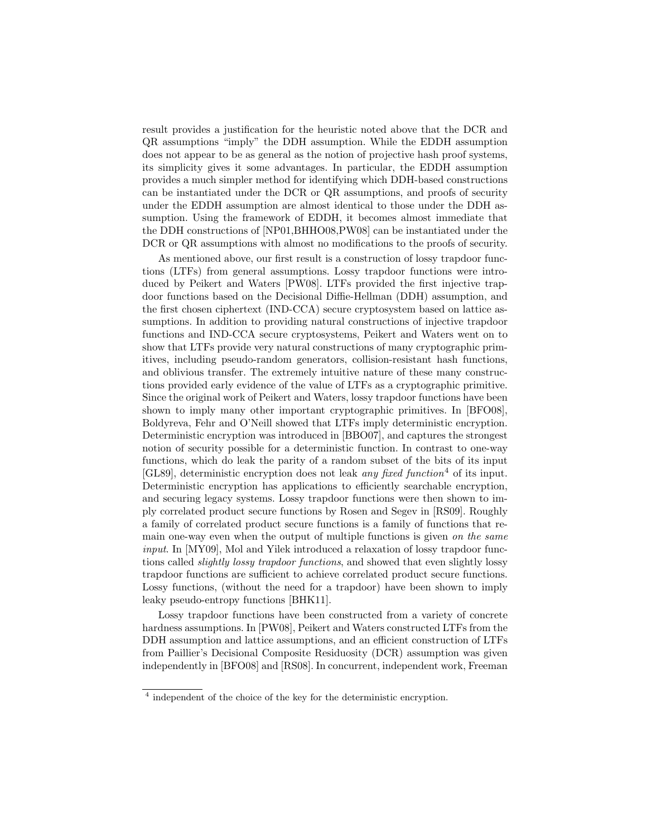result provides a justification for the heuristic noted above that the DCR and QR assumptions "imply" the DDH assumption. While the EDDH assumption does not appear to be as general as the notion of projective hash proof systems, its simplicity gives it some advantages. In particular, the EDDH assumption provides a much simpler method for identifying which DDH-based constructions can be instantiated under the DCR or QR assumptions, and proofs of security under the EDDH assumption are almost identical to those under the DDH assumption. Using the framework of EDDH, it becomes almost immediate that the DDH constructions of [\[NP01](#page-16-1)[,BHHO08,](#page-15-4)[PW08\]](#page-16-2) can be instantiated under the DCR or QR assumptions with almost no modifications to the proofs of security.

As mentioned above, our first result is a construction of lossy trapdoor functions (LTFs) from general assumptions. Lossy trapdoor functions were introduced by Peikert and Waters [\[PW08\]](#page-16-2). LTFs provided the first injective trapdoor functions based on the Decisional Diffie-Hellman (DDH) assumption, and the first chosen ciphertext (IND-CCA) secure cryptosystem based on lattice assumptions. In addition to providing natural constructions of injective trapdoor functions and IND-CCA secure cryptosystems, Peikert and Waters went on to show that LTFs provide very natural constructions of many cryptographic primitives, including pseudo-random generators, collision-resistant hash functions, and oblivious transfer. The extremely intuitive nature of these many constructions provided early evidence of the value of LTFs as a cryptographic primitive. Since the original work of Peikert and Waters, lossy trapdoor functions have been shown to imply many other important cryptographic primitives. In [\[BFO08\]](#page-15-5), Boldyreva, Fehr and O'Neill showed that LTFs imply deterministic encryption. Deterministic encryption was introduced in [\[BBO07\]](#page-15-6), and captures the strongest notion of security possible for a deterministic function. In contrast to one-way functions, which do leak the parity of a random subset of the bits of its input [\[GL89\]](#page-15-7), deterministic encryption does not leak any fixed function<sup>[4](#page-2-0)</sup> of its input. Deterministic encryption has applications to efficiently searchable encryption, and securing legacy systems. Lossy trapdoor functions were then shown to imply correlated product secure functions by Rosen and Segev in [\[RS09\]](#page-16-3). Roughly a family of correlated product secure functions is a family of functions that remain one-way even when the output of multiple functions is given on the same input. In [\[MY09\]](#page-16-4), Mol and Yilek introduced a relaxation of lossy trapdoor functions called slightly lossy trapdoor functions, and showed that even slightly lossy trapdoor functions are sufficient to achieve correlated product secure functions. Lossy functions, (without the need for a trapdoor) have been shown to imply leaky pseudo-entropy functions [\[BHK11\]](#page-15-8).

Lossy trapdoor functions have been constructed from a variety of concrete hardness assumptions. In [\[PW08\]](#page-16-2), Peikert and Waters constructed LTFs from the DDH assumption and lattice assumptions, and an efficient construction of LTFs from Paillier's Decisional Composite Residuosity (DCR) assumption was given independently in [\[BFO08\]](#page-15-5) and [\[RS08\]](#page-16-5). In concurrent, independent work, Freeman

<span id="page-2-0"></span><sup>&</sup>lt;sup>4</sup> independent of the choice of the key for the deterministic encryption.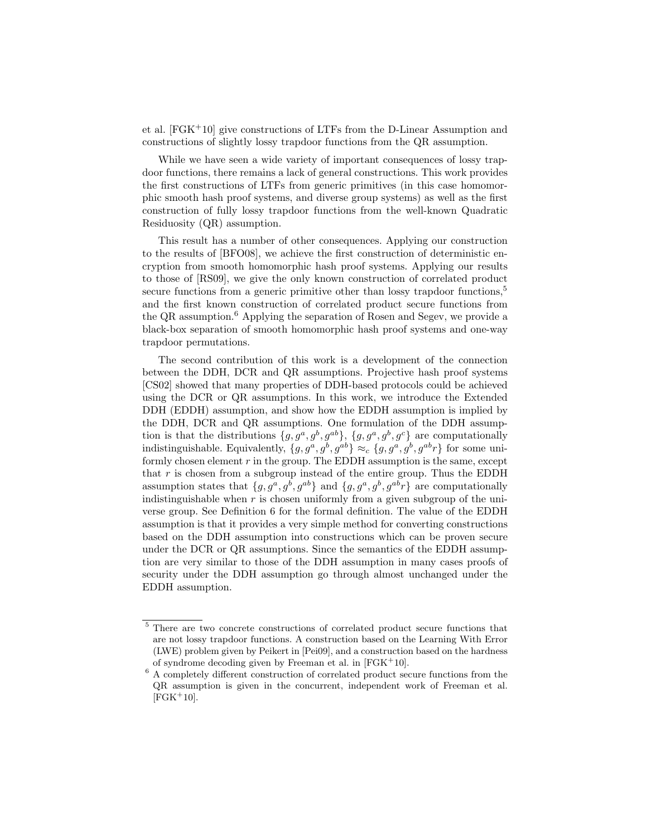et al. [\[FGK](#page-15-9)+10] give constructions of LTFs from the D-Linear Assumption and constructions of slightly lossy trapdoor functions from the QR assumption.

While we have seen a wide variety of important consequences of lossy trapdoor functions, there remains a lack of general constructions. This work provides the first constructions of LTFs from generic primitives (in this case homomorphic smooth hash proof systems, and diverse group systems) as well as the first construction of fully lossy trapdoor functions from the well-known Quadratic Residuosity (QR) assumption.

This result has a number of other consequences. Applying our construction to the results of [\[BFO08\]](#page-15-5), we achieve the first construction of deterministic encryption from smooth homomorphic hash proof systems. Applying our results to those of [\[RS09\]](#page-16-3), we give the only known construction of correlated product secure functions from a generic primitive other than lossy trapdoor functions,<sup>[5](#page-3-0)</sup> and the first known construction of correlated product secure functions from the  $QR$  assumption.<sup>[6](#page-3-1)</sup> Applying the separation of Rosen and Segev, we provide a black-box separation of smooth homomorphic hash proof systems and one-way trapdoor permutations.

The second contribution of this work is a development of the connection between the DDH, DCR and QR assumptions. Projective hash proof systems [\[CS02\]](#page-15-1) showed that many properties of DDH-based protocols could be achieved using the DCR or QR assumptions. In this work, we introduce the Extended DDH (EDDH) assumption, and show how the EDDH assumption is implied by the DDH, DCR and QR assumptions. One formulation of the DDH assumption is that the distributions  $\{g, g^a, g^b, g^{ab}\}, \{g, g^a, g^b, g^c\}$  are computationally indistinguishable. Equivalently,  $\{g, g^a, g^b, g^{ab}\} \approx_c \{g, g^a, g^b, g^{ab}r\}$  for some uniformly chosen element  $r$  in the group. The EDDH assumption is the same, except that  $r$  is chosen from a subgroup instead of the entire group. Thus the EDDH assumption states that  $\{g, g^a, g^b, g^{ab}\}\$ and  $\{g, g^a, g^b, g^{ab}r\}$  are computationally indistinguishable when  $r$  is chosen uniformly from a given subgroup of the universe group. See Definition [6](#page-11-0) for the formal definition. The value of the EDDH assumption is that it provides a very simple method for converting constructions based on the DDH assumption into constructions which can be proven secure under the DCR or QR assumptions. Since the semantics of the EDDH assumption are very similar to those of the DDH assumption in many cases proofs of security under the DDH assumption go through almost unchanged under the EDDH assumption.

<span id="page-3-0"></span><sup>5</sup> There are two concrete constructions of correlated product secure functions that are not lossy trapdoor functions. A construction based on the Learning With Error (LWE) problem given by Peikert in [\[Pei09\]](#page-16-6), and a construction based on the hardness of syndrome decoding given by Freeman et al. in  $[FGK^+10]$  $[FGK^+10]$ .

<span id="page-3-1"></span> $6$  A completely different construction of correlated product secure functions from the QR assumption is given in the concurrent, independent work of Freeman et al.  $[FGK^+10]$  $[FGK^+10]$ .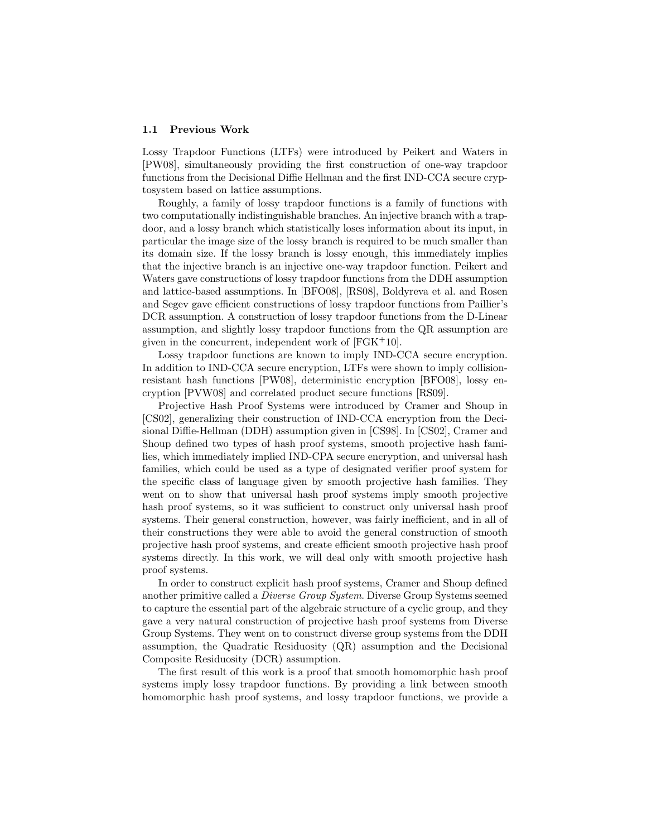#### 1.1 Previous Work

Lossy Trapdoor Functions (LTFs) were introduced by Peikert and Waters in [\[PW08\]](#page-16-2), simultaneously providing the first construction of one-way trapdoor functions from the Decisional Diffie Hellman and the first IND-CCA secure cryptosystem based on lattice assumptions.

Roughly, a family of lossy trapdoor functions is a family of functions with two computationally indistinguishable branches. An injective branch with a trapdoor, and a lossy branch which statistically loses information about its input, in particular the image size of the lossy branch is required to be much smaller than its domain size. If the lossy branch is lossy enough, this immediately implies that the injective branch is an injective one-way trapdoor function. Peikert and Waters gave constructions of lossy trapdoor functions from the DDH assumption and lattice-based assumptions. In [\[BFO08\]](#page-15-5), [\[RS08\]](#page-16-5), Boldyreva et al. and Rosen and Segev gave efficient constructions of lossy trapdoor functions from Paillier's DCR assumption. A construction of lossy trapdoor functions from the D-Linear assumption, and slightly lossy trapdoor functions from the QR assumption are given in the concurrent, independent work of  $[FGK^+10]$  $[FGK^+10]$ .

Lossy trapdoor functions are known to imply IND-CCA secure encryption. In addition to IND-CCA secure encryption, LTFs were shown to imply collisionresistant hash functions [\[PW08\]](#page-16-2), deterministic encryption [\[BFO08\]](#page-15-5), lossy encryption [\[PVW08\]](#page-16-7) and correlated product secure functions [\[RS09\]](#page-16-3).

Projective Hash Proof Systems were introduced by Cramer and Shoup in [\[CS02\]](#page-15-1), generalizing their construction of IND-CCA encryption from the Decisional Diffie-Hellman (DDH) assumption given in [\[CS98\]](#page-15-0). In [\[CS02\]](#page-15-1), Cramer and Shoup defined two types of hash proof systems, smooth projective hash families, which immediately implied IND-CPA secure encryption, and universal hash families, which could be used as a type of designated verifier proof system for the specific class of language given by smooth projective hash families. They went on to show that universal hash proof systems imply smooth projective hash proof systems, so it was sufficient to construct only universal hash proof systems. Their general construction, however, was fairly inefficient, and in all of their constructions they were able to avoid the general construction of smooth projective hash proof systems, and create efficient smooth projective hash proof systems directly. In this work, we will deal only with smooth projective hash proof systems.

In order to construct explicit hash proof systems, Cramer and Shoup defined another primitive called a Diverse Group System. Diverse Group Systems seemed to capture the essential part of the algebraic structure of a cyclic group, and they gave a very natural construction of projective hash proof systems from Diverse Group Systems. They went on to construct diverse group systems from the DDH assumption, the Quadratic Residuosity (QR) assumption and the Decisional Composite Residuosity (DCR) assumption.

The first result of this work is a proof that smooth homomorphic hash proof systems imply lossy trapdoor functions. By providing a link between smooth homomorphic hash proof systems, and lossy trapdoor functions, we provide a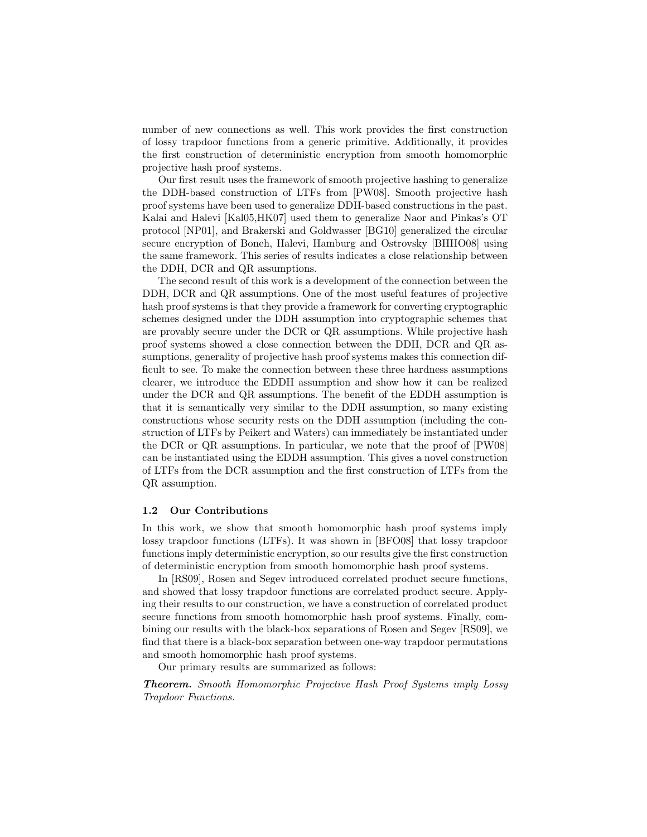number of new connections as well. This work provides the first construction of lossy trapdoor functions from a generic primitive. Additionally, it provides the first construction of deterministic encryption from smooth homomorphic projective hash proof systems.

Our first result uses the framework of smooth projective hashing to generalize the DDH-based construction of LTFs from [\[PW08\]](#page-16-2). Smooth projective hash proof systems have been used to generalize DDH-based constructions in the past. Kalai and Halevi [\[Kal05,](#page-16-0)[HK07\]](#page-15-2) used them to generalize Naor and Pinkas's OT protocol [\[NP01\]](#page-16-1), and Brakerski and Goldwasser [\[BG10\]](#page-15-3) generalized the circular secure encryption of Boneh, Halevi, Hamburg and Ostrovsky [\[BHHO08\]](#page-15-4) using the same framework. This series of results indicates a close relationship between the DDH, DCR and QR assumptions.

The second result of this work is a development of the connection between the DDH, DCR and QR assumptions. One of the most useful features of projective hash proof systems is that they provide a framework for converting cryptographic schemes designed under the DDH assumption into cryptographic schemes that are provably secure under the DCR or QR assumptions. While projective hash proof systems showed a close connection between the DDH, DCR and QR assumptions, generality of projective hash proof systems makes this connection difficult to see. To make the connection between these three hardness assumptions clearer, we introduce the EDDH assumption and show how it can be realized under the DCR and QR assumptions. The benefit of the EDDH assumption is that it is semantically very similar to the DDH assumption, so many existing constructions whose security rests on the DDH assumption (including the construction of LTFs by Peikert and Waters) can immediately be instantiated under the DCR or QR assumptions. In particular, we note that the proof of [\[PW08\]](#page-16-2) can be instantiated using the EDDH assumption. This gives a novel construction of LTFs from the DCR assumption and the first construction of LTFs from the QR assumption.

#### 1.2 Our Contributions

In this work, we show that smooth homomorphic hash proof systems imply lossy trapdoor functions (LTFs). It was shown in [\[BFO08\]](#page-15-5) that lossy trapdoor functions imply deterministic encryption, so our results give the first construction of deterministic encryption from smooth homomorphic hash proof systems.

In [\[RS09\]](#page-16-3), Rosen and Segev introduced correlated product secure functions, and showed that lossy trapdoor functions are correlated product secure. Applying their results to our construction, we have a construction of correlated product secure functions from smooth homomorphic hash proof systems. Finally, combining our results with the black-box separations of Rosen and Segev [\[RS09\]](#page-16-3), we find that there is a black-box separation between one-way trapdoor permutations and smooth homomorphic hash proof systems.

Our primary results are summarized as follows:

Theorem. Smooth Homomorphic Projective Hash Proof Systems imply Lossy Trapdoor Functions.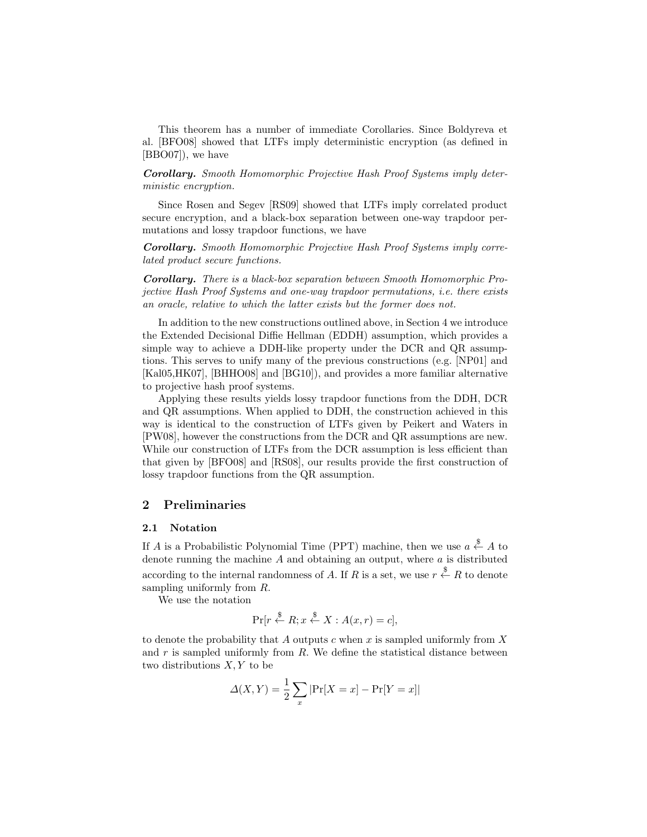This theorem has a number of immediate Corollaries. Since Boldyreva et al. [\[BFO08\]](#page-15-5) showed that LTFs imply deterministic encryption (as defined in [\[BBO07\]](#page-15-6)), we have

Corollary. Smooth Homomorphic Projective Hash Proof Systems imply deterministic encryption.

Since Rosen and Segev [\[RS09\]](#page-16-3) showed that LTFs imply correlated product secure encryption, and a black-box separation between one-way trapdoor permutations and lossy trapdoor functions, we have

Corollary. Smooth Homomorphic Projective Hash Proof Systems imply correlated product secure functions.

Corollary. There is a black-box separation between Smooth Homomorphic Projective Hash Proof Systems and one-way trapdoor permutations, i.e. there exists an oracle, relative to which the latter exists but the former does not.

In addition to the new constructions outlined above, in Section [4](#page-11-1) we introduce the Extended Decisional Diffie Hellman (EDDH) assumption, which provides a simple way to achieve a DDH-like property under the DCR and QR assumptions. This serves to unify many of the previous constructions (e.g. [\[NP01\]](#page-16-1) and [\[Kal05,](#page-16-0)[HK07\]](#page-15-2), [\[BHHO08\]](#page-15-4) and [\[BG10\]](#page-15-3)), and provides a more familiar alternative to projective hash proof systems.

Applying these results yields lossy trapdoor functions from the DDH, DCR and QR assumptions. When applied to DDH, the construction achieved in this way is identical to the construction of LTFs given by Peikert and Waters in [\[PW08\]](#page-16-2), however the constructions from the DCR and QR assumptions are new. While our construction of LTFs from the DCR assumption is less efficient than that given by [\[BFO08\]](#page-15-5) and [\[RS08\]](#page-16-5), our results provide the first construction of lossy trapdoor functions from the QR assumption.

# 2 Preliminaries

# 2.1 Notation

If A is a Probabilistic Polynomial Time (PPT) machine, then we use  $a \stackrel{\$}{\leftarrow} A$  to denote running the machine  $A$  and obtaining an output, where  $a$  is distributed according to the internal randomness of A. If R is a set, we use  $r \stackrel{\$}{\leftarrow} R$  to denote sampling uniformly from  $R$ .

We use the notation

$$
\Pr[r \stackrel{\$}{\leftarrow} R; x \stackrel{\$}{\leftarrow} X : A(x, r) = c],
$$

to denote the probability that A outputs  $c$  when  $x$  is sampled uniformly from  $X$ and  $r$  is sampled uniformly from  $R$ . We define the statistical distance between two distributions  $X, Y$  to be

$$
\Delta(X,Y) = \frac{1}{2} \sum_{x} |\Pr[X=x] - \Pr[Y=x]|
$$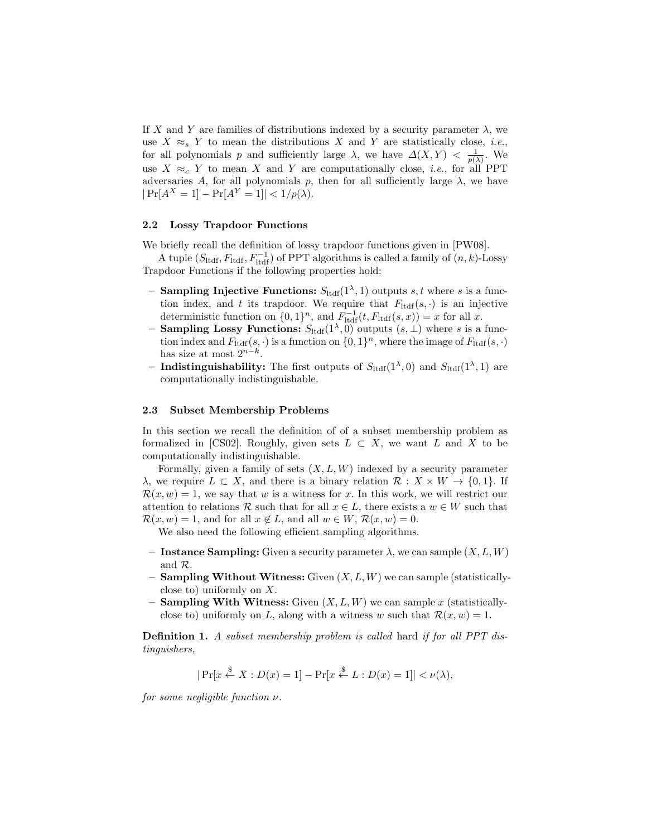If X and Y are families of distributions indexed by a security parameter  $\lambda$ , we use  $X \approx_s Y$  to mean the distributions X and Y are statistically close, *i.e.*, for all polynomials p and sufficiently large  $\lambda$ , we have  $\Delta(X,Y) < \frac{1}{p(\lambda)}$ . We use  $X \approx_c Y$  to mean X and Y are computationally close, *i.e.*, for all PPT adversaries A, for all polynomials p, then for all sufficiently large  $\lambda$ , we have  $|\Pr[A^X = 1] - \Pr[A^Y = 1]| < 1/p(\lambda).$ 

### 2.2 Lossy Trapdoor Functions

We briefly recall the definition of lossy trapdoor functions given in [\[PW08\]](#page-16-2).

A tuple  $(S_{\text{ltdf}}, F_{\text{ltdf}}^{\text{-1}})$  of PPT algorithms is called a family of  $(n, k)$ -Lossy Trapdoor Functions if the following properties hold:

- **Sampling Injective Functions:**  $S_{\text{ltdf}}(1^{\lambda}, 1)$  outputs s, t where s is a function index, and t its trapdoor. We require that  $F_{\text{ltdf}}(s, \cdot)$  is an injective deterministic function on  $\{0, 1\}^n$ , and  $F_{\text{ltdf}}^{-1}(t, F_{\text{ltdf}}(s, x)) = x$  for all x.
- **Sampling Lossy Functions:**  $S_{\text{ltdf}}(1^{\lambda}, 0)$  outputs  $(s, \perp)$  where s is a function index and  $F_{\text{ltdf}}(s, \cdot)$  is a function on  $\{0, 1\}^n$ , where the image of  $F_{\text{ltdf}}(s, \cdot)$ has size at most  $2^{n-k}$ .
- Indistinguishability: The first outputs of  $S_{\text{ltdf}}(1^{\lambda},0)$  and  $S_{\text{ltdf}}(1^{\lambda},1)$  are computationally indistinguishable.

#### 2.3 Subset Membership Problems

In this section we recall the definition of of a subset membership problem as formalized in [\[CS02\]](#page-15-1). Roughly, given sets  $L \subset X$ , we want L and X to be computationally indistinguishable.

Formally, given a family of sets  $(X, L, W)$  indexed by a security parameter  $\lambda$ , we require  $L \subset X$ , and there is a binary relation  $\mathcal{R}: X \times W \to \{0,1\}$ . If  $\mathcal{R}(x, w) = 1$ , we say that w is a witness for x. In this work, we will restrict our attention to relations R such that for all  $x \in L$ , there exists a  $w \in W$  such that  $\mathcal{R}(x, w) = 1$ , and for all  $x \notin L$ , and all  $w \in W$ ,  $\mathcal{R}(x, w) = 0$ .

We also need the following efficient sampling algorithms.

- Instance Sampling: Given a security parameter  $\lambda$ , we can sample  $(X, L, W)$ and R.
- **Sampling Without Witness:** Given  $(X, L, W)$  we can sample (statisticallyclose to) uniformly on X.
- **Sampling With Witness:** Given  $(X, L, W)$  we can sample x (statisticallyclose to) uniformly on L, along with a witness w such that  $\mathcal{R}(x, w) = 1$ .

Definition 1. A subset membership problem is called hard if for all PPT distinguishers,

$$
|\Pr[x \stackrel{\$}{\leftarrow} X : D(x) = 1] - \Pr[x \stackrel{\$}{\leftarrow} L : D(x) = 1]| < \nu(\lambda),
$$

for some negligible function  $\nu$ .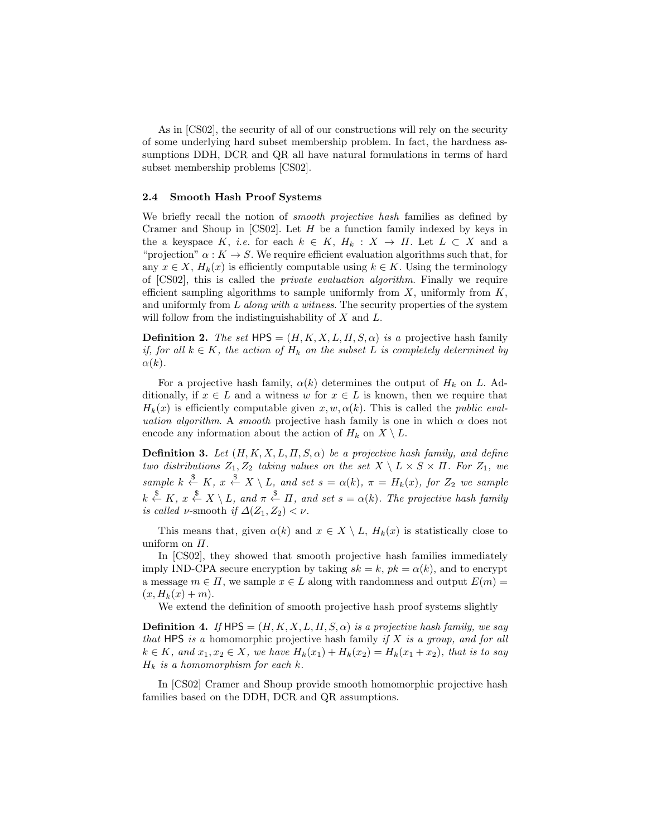As in [\[CS02\]](#page-15-1), the security of all of our constructions will rely on the security of some underlying hard subset membership problem. In fact, the hardness assumptions DDH, DCR and QR all have natural formulations in terms of hard subset membership problems [\[CS02\]](#page-15-1).

### 2.4 Smooth Hash Proof Systems

We briefly recall the notion of *smooth projective hash* families as defined by Cramer and Shoup in  $[CS02]$ . Let H be a function family indexed by keys in the a keyspace K, i.e. for each  $k \in K$ ,  $H_k : X \to \Pi$ . Let  $L \subset X$  and a "projection"  $\alpha: K \to S$ . We require efficient evaluation algorithms such that, for any  $x \in X$ ,  $H_k(x)$  is efficiently computable using  $k \in K$ . Using the terminology of [\[CS02\]](#page-15-1), this is called the private evaluation algorithm. Finally we require efficient sampling algorithms to sample uniformly from  $X$ , uniformly from  $K$ , and uniformly from  $L$  along with a witness. The security properties of the system will follow from the indistinguishability of  $X$  and  $L$ .

**Definition 2.** The set  $HPS = (H, K, X, L, H, S, \alpha)$  is a projective hash family if, for all  $k \in K$ , the action of  $H_k$  on the subset L is completely determined by  $\alpha(k)$ .

For a projective hash family,  $\alpha(k)$  determines the output of  $H_k$  on L. Additionally, if  $x \in L$  and a witness w for  $x \in L$  is known, then we require that  $H_k(x)$  is efficiently computable given  $x, w, \alpha(k)$ . This is called the *public eval*uation algorithm. A smooth projective hash family is one in which  $\alpha$  does not encode any information about the action of  $H_k$  on  $X \setminus L$ .

**Definition 3.** Let  $(H, K, X, L, \Pi, S, \alpha)$  be a projective hash family, and define two distributions  $Z_1, Z_2$  taking values on the set  $X \setminus L \times S \times \Pi$ . For  $Z_1$ , we sample  $k \stackrel{\$}{\leftarrow} K$ ,  $x \stackrel{\$}{\leftarrow} X \setminus L$ , and set  $s = \alpha(k)$ ,  $\pi = H_k(x)$ , for  $Z_2$  we sample  $k \stackrel{\$}{\leftarrow} K$ ,  $x \stackrel{\$}{\leftarrow} X \setminus L$ , and  $\pi \stackrel{\$}{\leftarrow} \Pi$ , and set  $s = \alpha(k)$ . The projective hash family is called v-smooth if  $\Delta(Z_1, Z_2) < \nu$ .

This means that, given  $\alpha(k)$  and  $x \in X \setminus L$ ,  $H_k(x)$  is statistically close to uniform on  $\Pi$ .

In [\[CS02\]](#page-15-1), they showed that smooth projective hash families immediately imply IND-CPA secure encryption by taking  $sk = k$ ,  $pk = \alpha(k)$ , and to encrypt a message  $m \in \Pi$ , we sample  $x \in L$  along with randomness and output  $E(m)$  $(x, H_k(x) + m).$ 

We extend the definition of smooth projective hash proof systems slightly

**Definition 4.** If HPS =  $(H, K, X, L, \Pi, S, \alpha)$  is a projective hash family, we say that HPS is a homomorphic projective hash family if  $X$  is a group, and for all  $k \in K$ , and  $x_1, x_2 \in X$ , we have  $H_k(x_1) + H_k(x_2) = H_k(x_1 + x_2)$ , that is to say  $H_k$  is a homomorphism for each  $k$ .

In [\[CS02\]](#page-15-1) Cramer and Shoup provide smooth homomorphic projective hash families based on the DDH, DCR and QR assumptions.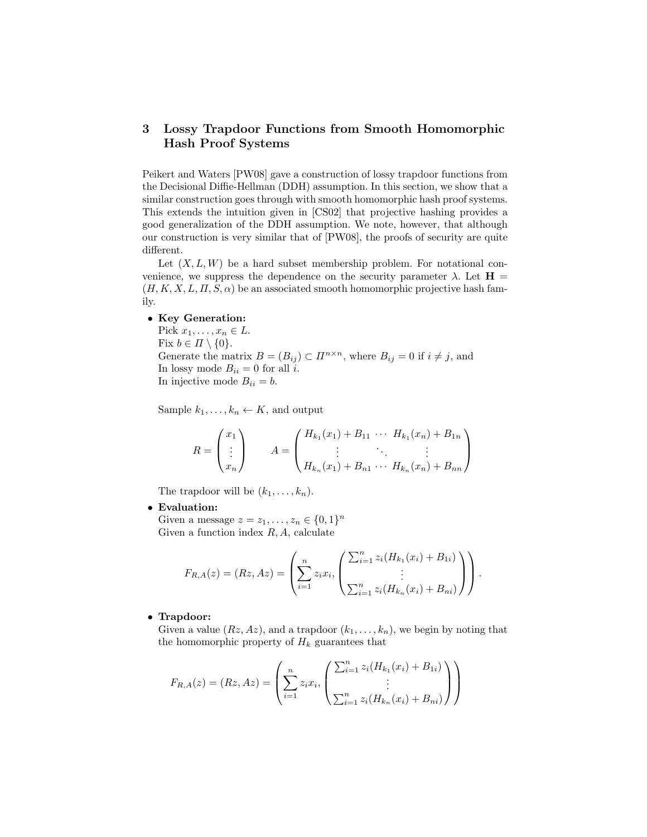# 3 Lossy Trapdoor Functions from Smooth Homomorphic Hash Proof Systems

Peikert and Waters [\[PW08\]](#page-16-2) gave a construction of lossy trapdoor functions from the Decisional Diffie-Hellman (DDH) assumption. In this section, we show that a similar construction goes through with smooth homomorphic hash proof systems. This extends the intuition given in [\[CS02\]](#page-15-1) that projective hashing provides a good generalization of the DDH assumption. We note, however, that although our construction is very similar that of [\[PW08\]](#page-16-2), the proofs of security are quite different.

Let  $(X, L, W)$  be a hard subset membership problem. For notational convenience, we suppress the dependence on the security parameter  $\lambda$ . Let  $\mathbf{H} =$  $(H, K, X, L, \Pi, S, \alpha)$  be an associated smooth homomorphic projective hash family.

### • Key Generation:

Pick  $x_1, \ldots, x_n \in L$ . Fix  $b \in \Pi \setminus \{0\}.$ Generate the matrix  $B = (B_{ij}) \subset \Pi^{n \times n}$ , where  $B_{ij} = 0$  if  $i \neq j$ , and In lossy mode  $B_{ii} = 0$  for all *i*. In injective mode  $B_{ii} = b$ .

Sample  $k_1, \ldots, k_n \leftarrow K$ , and output

$$
R = \begin{pmatrix} x_1 \\ \vdots \\ x_n \end{pmatrix} \qquad A = \begin{pmatrix} H_{k_1}(x_1) + B_{11} & \cdots & H_{k_1}(x_n) + B_{1n} \\ \vdots & \ddots & \vdots \\ H_{k_n}(x_1) + B_{n1} & \cdots & H_{k_n}(x_n) + B_{nn} \end{pmatrix}
$$

The trapdoor will be  $(k_1, \ldots, k_n)$ .

## • Evaluation:

Given a message  $z = z_1, \ldots, z_n \in \{0, 1\}^n$ Given a function index  $R$ ,  $A$ , calculate

$$
F_{R,A}(z) = (Rz, Az) = \left(\sum_{i=1}^n z_i x_i, \left(\frac{\sum_{i=1}^n z_i (H_{k_1}(x_i) + B_{1i})}{\vdots}, \frac{\sum_{i=1}^n z_i (H_{k_n}(x_i) + B_{ni})}{\sum_{i=1}^n z_i (H_{k_n}(x_i) + B_{ni})}\right)\right).
$$

• Trapdoor:

Given a value  $(Rz, Az)$ , and a trapdoor  $(k_1, \ldots, k_n)$ , we begin by noting that the homomorphic property of  $H_k$  guarantees that

$$
F_{R,A}(z) = (Rz, Az) = \left(\sum_{i=1}^n z_i x_i, \begin{pmatrix} \sum_{i=1}^n z_i (H_{k_1}(x_i) + B_{1i}) \\ \vdots \\ \sum_{i=1}^n z_i (H_{k_n}(x_i) + B_{ni}) \end{pmatrix}\right)
$$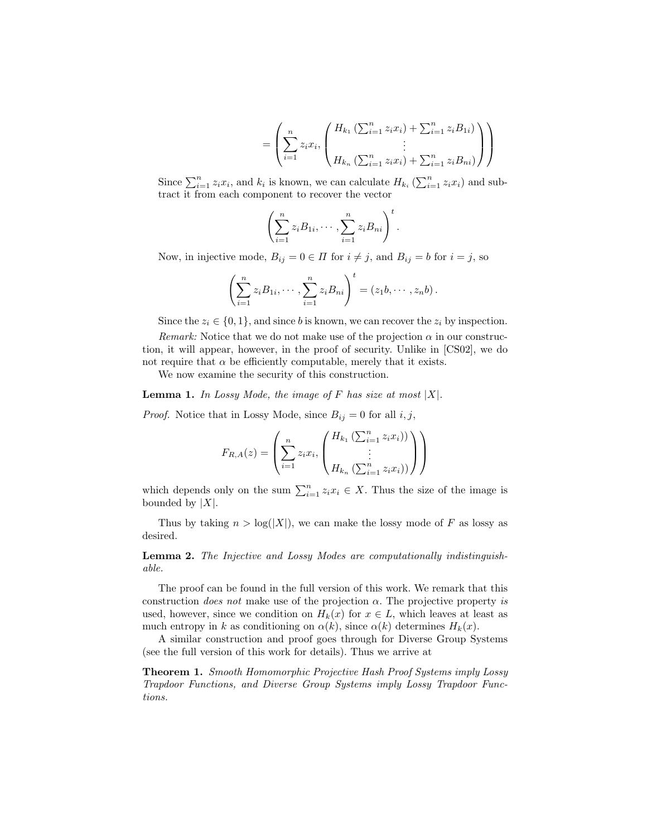$$
= \left(\sum_{i=1}^{n} z_i x_i, \left(\frac{H_{k_1}(\sum_{i=1}^{n} z_i x_i) + \sum_{i=1}^{n} z_i B_{1i})}{H_{k_n}(\sum_{i=1}^{n} z_i x_i) + \sum_{i=1}^{n} z_i B_{ni})}\right)\right)
$$

Since  $\sum_{i=1}^{n} z_i x_i$ , and  $k_i$  is known, we can calculate  $H_{k_i}(\sum_{i=1}^{n} z_i x_i)$  and subtract it from each component to recover the vector

$$
\left(\sum_{i=1}^n z_i B_{1i}, \cdots, \sum_{i=1}^n z_i B_{ni}\right)^t.
$$

Now, in injective mode,  $B_{ij} = 0 \in \Pi$  for  $i \neq j$ , and  $B_{ij} = b$  for  $i = j$ , so

$$
\left(\sum_{i=1}^n z_i B_{1i}, \cdots, \sum_{i=1}^n z_i B_{ni}\right)^t = (z_1 b, \cdots, z_n b).
$$

Since the  $z_i \in \{0, 1\}$ , and since b is known, we can recover the  $z_i$  by inspection.

Remark: Notice that we do not make use of the projection  $\alpha$  in our construction, it will appear, however, in the proof of security. Unlike in [\[CS02\]](#page-15-1), we do not require that  $\alpha$  be efficiently computable, merely that it exists.

We now examine the security of this construction.

**Lemma 1.** In Lossy Mode, the image of F has size at most  $|X|$ .

*Proof.* Notice that in Lossy Mode, since  $B_{ij} = 0$  for all i, j,

$$
F_{R,A}(z) = \left(\sum_{i=1}^{n} z_i x_i, \begin{pmatrix} H_{k_1}(\sum_{i=1}^{n} z_i x_i) \\ \vdots \\ H_{k_n}(\sum_{i=1}^{n} z_i x_i) \end{pmatrix}\right)
$$

which depends only on the sum  $\sum_{i=1}^{n} z_i x_i \in X$ . Thus the size of the image is bounded by  $|X|$ .

Thus by taking  $n > log(|X|)$ , we can make the lossy mode of F as lossy as desired.

Lemma 2. The Injective and Lossy Modes are computationally indistinguishable.

The proof can be found in the full version of this work. We remark that this construction does not make use of the projection  $\alpha$ . The projective property is used, however, since we condition on  $H_k(x)$  for  $x \in L$ , which leaves at least as much entropy in k as conditioning on  $\alpha(k)$ , since  $\alpha(k)$  determines  $H_k(x)$ .

A similar construction and proof goes through for Diverse Group Systems (see the full version of this work for details). Thus we arrive at

Theorem 1. Smooth Homomorphic Projective Hash Proof Systems imply Lossy Trapdoor Functions, and Diverse Group Systems imply Lossy Trapdoor Functions.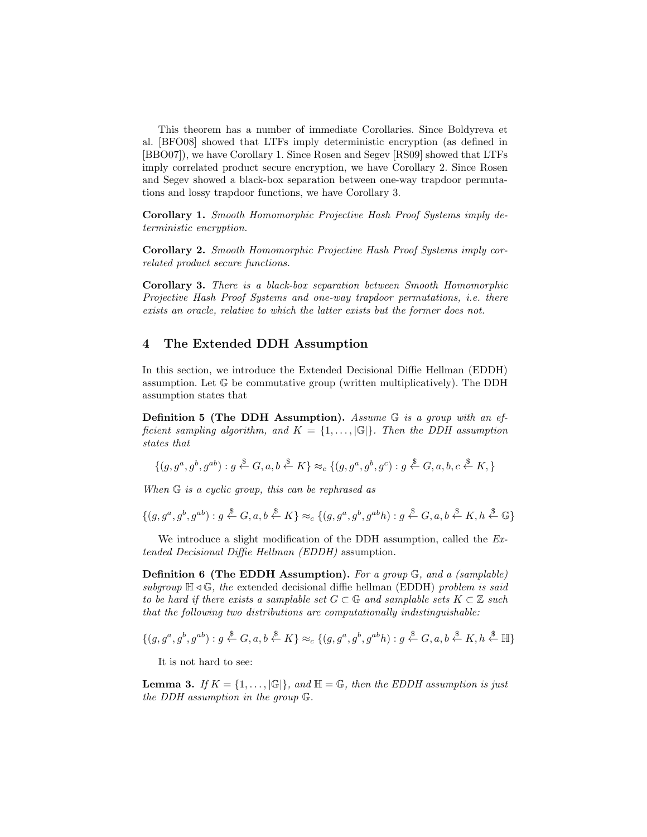This theorem has a number of immediate Corollaries. Since Boldyreva et al. [\[BFO08\]](#page-15-5) showed that LTFs imply deterministic encryption (as defined in [\[BBO07\]](#page-15-6)), we have Corollary [1.](#page-11-2) Since Rosen and Segev [\[RS09\]](#page-16-3) showed that LTFs imply correlated product secure encryption, we have Corollary [2.](#page-11-3) Since Rosen and Segev showed a black-box separation between one-way trapdoor permutations and lossy trapdoor functions, we have Corollary [3.](#page-11-4)

<span id="page-11-2"></span>Corollary 1. Smooth Homomorphic Projective Hash Proof Systems imply deterministic encryption.

<span id="page-11-3"></span>Corollary 2. Smooth Homomorphic Projective Hash Proof Systems imply correlated product secure functions.

<span id="page-11-4"></span>Corollary 3. There is a black-box separation between Smooth Homomorphic Projective Hash Proof Systems and one-way trapdoor permutations, i.e. there exists an oracle, relative to which the latter exists but the former does not.

# <span id="page-11-1"></span>4 The Extended DDH Assumption

In this section, we introduce the Extended Decisional Diffie Hellman (EDDH) assumption. Let G be commutative group (written multiplicatively). The DDH assumption states that

**Definition 5 (The DDH Assumption).** Assume  $G$  is a group with an efficient sampling algorithm, and  $K = \{1, \ldots, |\mathbb{G}|\}$ . Then the DDH assumption states that

$$
\{(g,g^a,g^b,g^{ab}): g \stackrel{\$}{\leftarrow} G, a, b \stackrel{\$}{\leftarrow} K\} \approx_c \{(g,g^a,g^b,g^c): g \stackrel{\$}{\leftarrow} G, a, b, c \stackrel{\$}{\leftarrow} K, \}
$$

When  $G$  is a cyclic group, this can be rephrased as

$$
\{(g, g^a, g^b, g^{ab}): g \stackrel{\$}{\leftarrow} G, a, b \stackrel{\$}{\leftarrow} K\} \approx_c \{(g, g^a, g^b, g^{ab}h): g \stackrel{\$}{\leftarrow} G, a, b \stackrel{\$}{\leftarrow} K, h \stackrel{\$}{\leftarrow} \mathbb{G}\}
$$

We introduce a slight modification of the DDH assumption, called the  $Ex$ tended Decisional Diffie Hellman (EDDH) assumption.

<span id="page-11-0"></span>**Definition 6 (The EDDH Assumption).** For a group  $\mathbb{G}$ , and a (samplable) subgroup  $\mathbb{H} \triangleleft \mathbb{G}$ , the extended decisional diffie hellman (EDDH) problem is said to be hard if there exists a samplable set  $G \subset \mathbb{G}$  and samplable sets  $K \subset \mathbb{Z}$  such that the following two distributions are computationally indistinguishable:

$$
\{(g, g^a, g^b, g^{ab}): g \stackrel{\$}{\leftarrow} G, a, b \stackrel{\$}{\leftarrow} K\} \approx_c \{(g, g^a, g^b, g^{ab}h): g \stackrel{\$}{\leftarrow} G, a, b \stackrel{\$}{\leftarrow} K, h \stackrel{\$}{\leftarrow} \mathbb{H}\}
$$

It is not hard to see:

**Lemma 3.** If  $K = \{1, ..., |\mathbb{G}|\}$ , and  $\mathbb{H} = \mathbb{G}$ , then the EDDH assumption is just the DDH assumption in the group G.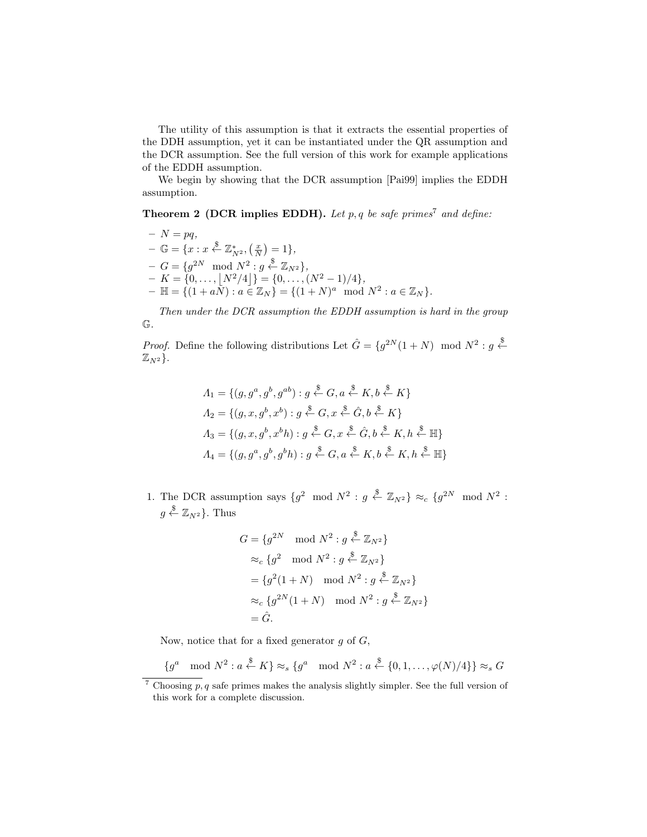The utility of this assumption is that it extracts the essential properties of the DDH assumption, yet it can be instantiated under the QR assumption and the DCR assumption. See the full version of this work for example applications of the EDDH assumption.

We begin by showing that the DCR assumption [\[Pai99\]](#page-16-8) implies the EDDH assumption.

Theorem 2 (DCR implies EDDH). Let  $p, q$  be safe primes<sup>[7](#page-12-0)</sup> and define:

 $- N = pq$  $- \mathbb{G} = \{x : x \stackrel{\$}{\leftarrow} \mathbb{Z}_{N^2}^*, \left(\frac{x}{N}\right) = 1\},\$  $- G = \{g^{2N} \mod N^2 : g \stackrel{\$}{\leftarrow} \mathbb{Z}_{N^2}\},\$  $-K = \{0, \ldots, |N^2/4|\} = \{0, \ldots, (N^2 - 1)/4\},\$  $- \mathbb{H} = \{ (1 + a\overline{N}) : a \in \mathbb{Z}_N \} = \{ (1 + N)^a \mod N^2 : a \in \mathbb{Z}_N \}.$ 

Then under the DCR assumption the EDDH assumption is hard in the group G.

*Proof.* Define the following distributions Let  $\hat{G} = \{g^{2N}(1+N) \mod N^2 : g \stackrel{\$}{\leftarrow}$  $\mathbb{Z}_{N^2}$ .

$$
A_1 = \{ (g, g^a, g^b, g^{ab}) : g \stackrel{\$}{\leftarrow} G, a \stackrel{\$}{\leftarrow} K, b \stackrel{\$}{\leftarrow} K \}
$$
  
\n
$$
A_2 = \{ (g, x, g^b, x^b) : g \stackrel{\$}{\leftarrow} G, x \stackrel{\$}{\leftarrow} \hat{G}, b \stackrel{\$}{\leftarrow} K \}
$$
  
\n
$$
A_3 = \{ (g, x, g^b, x^b h) : g \stackrel{\$}{\leftarrow} G, x \stackrel{\$}{\leftarrow} \hat{G}, b \stackrel{\$}{\leftarrow} K, h \stackrel{\$}{\leftarrow} \mathbb{H} \}
$$
  
\n
$$
A_4 = \{ (g, g^a, g^b, g^b h) : g \stackrel{\$}{\leftarrow} G, a \stackrel{\$}{\leftarrow} K, b \stackrel{\$}{\leftarrow} K, h \stackrel{\$}{\leftarrow} \mathbb{H} \}
$$

1. The DCR assumption says  $\{g^2 \mod N^2 : g \stackrel{\$}{\leftarrow} \mathbb{Z}_{N^2}\}\approx_c \{g^{2N} \mod N^2 : g \stackrel{\$}{\leftarrow} \mathbb{Z}_{N^2}\}$  $g \overset{\$}{\leftarrow} \mathbb{Z}_{N^2}$ . Thus

$$
G = \{g^{2N} \mod N^2 : g \stackrel{\$}{\leftarrow} \mathbb{Z}_{N^2}\}
$$
  
\n
$$
\approx_c \{g^2 \mod N^2 : g \stackrel{\$}{\leftarrow} \mathbb{Z}_{N^2}\}
$$
  
\n
$$
= \{g^2(1+N) \mod N^2 : g \stackrel{\$}{\leftarrow} \mathbb{Z}_{N^2}\}
$$
  
\n
$$
\approx_c \{g^{2N}(1+N) \mod N^2 : g \stackrel{\$}{\leftarrow} \mathbb{Z}_{N^2}\}
$$
  
\n
$$
= \hat{G}.
$$

Now, notice that for a fixed generator  $g$  of  $G$ ,

 ${g^a \mod N^2 : a \stackrel{\$}{\leftarrow} K} \approx_s {g^a \mod N^2 : a \stackrel{\$}{\leftarrow} {0,1,\ldots,\varphi(N)/4}} \approx_s G$ 

<span id="page-12-0"></span><sup>&</sup>lt;sup>7</sup> Choosing  $p, q$  safe primes makes the analysis slightly simpler. See the full version of this work for a complete discussion.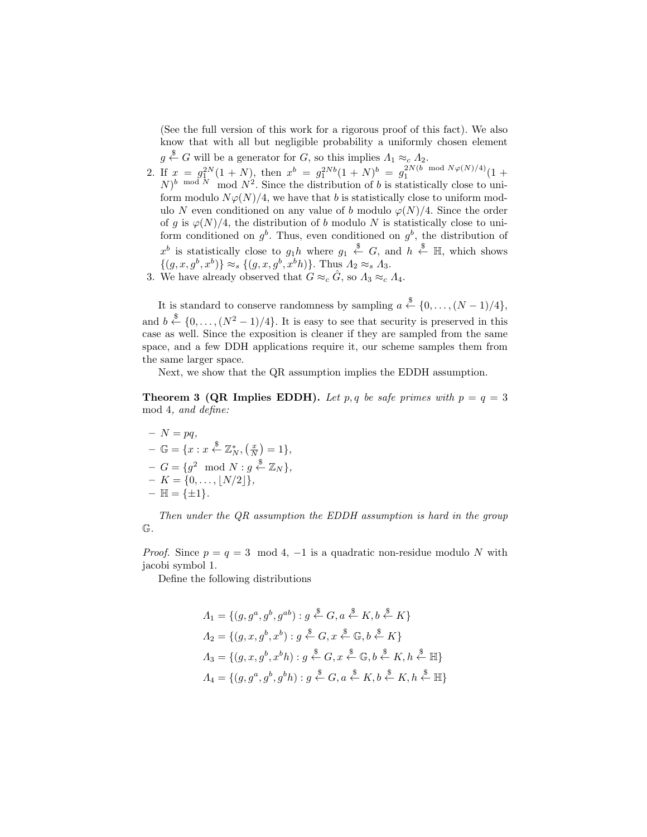(See the full version of this work for a rigorous proof of this fact). We also know that with all but negligible probability a uniformly chosen element  $g \stackrel{\$}{\leftarrow} G$  will be a generator for  $G$ , so this implies  $\Lambda_1 \approx_c \Lambda_2$ .

- 2. If  $x = g_1^{2N}(1+N)$ , then  $x^b = g_1^{2Nb}(1+N)^b = g_1^{2N(b \mod N\varphi(N)/4)}(1+N)$  $(N)^{b \mod N}$  mod  $N^2$ . Since the distribution of b is statistically close to uniform modulo  $N\varphi(N)/4$ , we have that b is statistically close to uniform modulo N even conditioned on any value of b modulo  $\varphi(N)/4$ . Since the order of g is  $\varphi(N)/4$ , the distribution of b modulo N is statistically close to uniform conditioned on  $g^b$ . Thus, even conditioned on  $g^b$ , the distribution of  $x^b$  is statistically close to  $g_1 h$  where  $g_1 \stackrel{\$}{\leftarrow} G$ , and  $h \stackrel{\$}{\leftarrow} \mathbb{H}$ , which shows  $\{(g, x, g^b, x^b)\}\approx_s \{(g, x, g^b, x^b h)\}.$  Thus  $\Lambda_2 \approx_s \Lambda_3$ .
- 3. We have already observed that  $G \approx_c \hat{G}$ , so  $\Lambda_3 \approx_c \Lambda_4$ .

It is standard to conserve randomness by sampling  $a \stackrel{\$}{\leftarrow} \{0, \ldots, (N-1)/4\},\$ and  $b \stackrel{\$}{\leftarrow} \{0, \ldots, (N^2-1)/4\}$ . It is easy to see that security is preserved in this case as well. Since the exposition is cleaner if they are sampled from the same space, and a few DDH applications require it, our scheme samples them from the same larger space.

Next, we show that the QR assumption implies the EDDH assumption.

**Theorem 3 (QR Implies EDDH).** Let p, q be safe primes with  $p = q = 3$ mod 4, and define:

- 
$$
N = pq
$$
,  
\n-  $\mathbb{G} = \{x : x \stackrel{\$}{\leftarrow} \mathbb{Z}_N^*, (\frac{x}{N}) = 1\},$   
\n-  $G = \{g^2 \mod N : g \stackrel{\$}{\leftarrow} \mathbb{Z}_N\},$   
\n-  $K = \{0, ..., \lfloor N/2 \rfloor\},$   
\n-  $\mathbb{H} = \{\pm 1\}.$ 

Then under the QR assumption the EDDH assumption is hard in the group G.

*Proof.* Since  $p = q = 3 \mod 4, -1$  is a quadratic non-residue modulo N with jacobi symbol 1.

Define the following distributions

$$
A_1 = \{ (g, g^a, g^b, g^{ab}) : g \stackrel{\$}{\leftarrow} G, a \stackrel{\$}{\leftarrow} K, b \stackrel{\$}{\leftarrow} K \}
$$
  
\n
$$
A_2 = \{ (g, x, g^b, x^b) : g \stackrel{\$}{\leftarrow} G, x \stackrel{\$}{\leftarrow} \mathbb{G}, b \stackrel{\$}{\leftarrow} K \}
$$
  
\n
$$
A_3 = \{ (g, x, g^b, x^b h) : g \stackrel{\$}{\leftarrow} G, x \stackrel{\$}{\leftarrow} \mathbb{G}, b \stackrel{\$}{\leftarrow} K, h \stackrel{\$}{\leftarrow} \mathbb{H} \}
$$
  
\n
$$
A_4 = \{ (g, g^a, g^b, g^b h) : g \stackrel{\$}{\leftarrow} G, a \stackrel{\$}{\leftarrow} K, b \stackrel{\$}{\leftarrow} K, h \stackrel{\$}{\leftarrow} \mathbb{H} \}
$$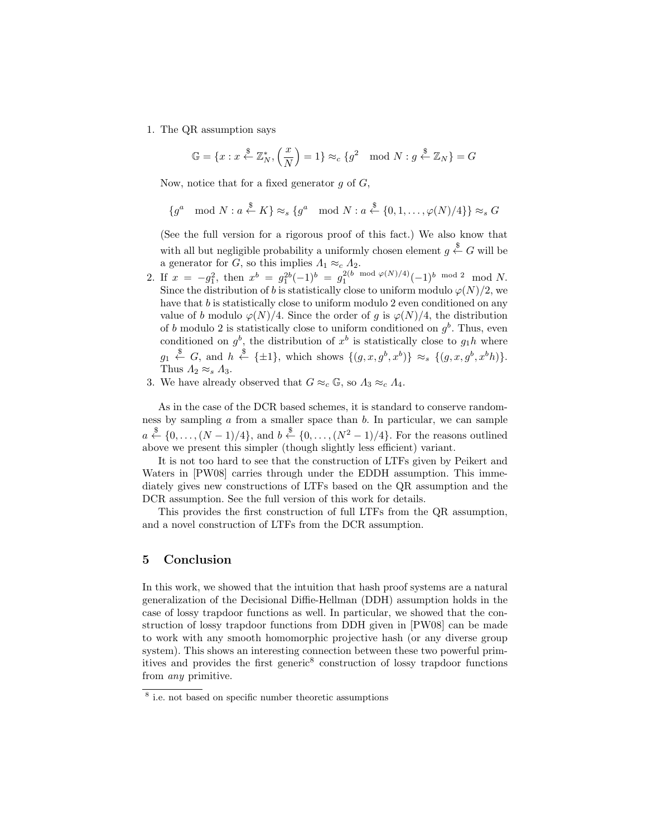1. The QR assumption says

$$
\mathbb{G} = \{x : x \stackrel{\$}{\leftarrow} \mathbb{Z}_N^*, \left(\frac{x}{N}\right) = 1\} \approx_c \{g^2 \mod N : g \stackrel{\$}{\leftarrow} \mathbb{Z}_N\} = G
$$

Now, notice that for a fixed generator  $g$  of  $G$ ,

 ${g^a \mod N : a \stackrel{\$}{\leftarrow} K} \approx_s {g^a \mod N : a \stackrel{\$}{\leftarrow} {0,1,\ldots,\varphi(N)/4}} \approx_s G$ 

(See the full version for a rigorous proof of this fact.) We also know that with all but negligible probability a uniformly chosen element  $g \stackrel{\$}{\leftarrow} G$  will be a generator for G, so this implies  $\Lambda_1 \approx_c \Lambda_2$ .

- 2. If  $x = -g_1^2$ , then  $x^b = g_1^{2b}(-1)^b = g_1^{2(b \mod \varphi(N)/4)}(-1)^b \mod 2 \mod N$ . Since the distribution of b is statistically close to uniform modulo  $\varphi(N)/2$ , we have that  $b$  is statistically close to uniform modulo 2 even conditioned on any value of b modulo  $\varphi(N)/4$ . Since the order of g is  $\varphi(N)/4$ , the distribution of b modulo 2 is statistically close to uniform conditioned on  $g<sup>b</sup>$ . Thus, even conditioned on  $g^b$ , the distribution of  $x^b$  is statistically close to  $g_1h$  where  $g_1 \stackrel{\$}{\leftarrow} G$ , and  $h \stackrel{\$}{\leftarrow} {\{\pm 1\}}$ , which shows  $\{(g, x, g^b, x^b)\} \approx_s \{(g, x, g^b, x^b h)\}.$ Thus  $A_2 \approx_s A_3$ .
- 3. We have already observed that  $G \approx_c \mathbb{G}$ , so  $\Lambda_3 \approx_c \Lambda_4$ .

As in the case of the DCR based schemes, it is standard to conserve randomness by sampling  $a$  from a smaller space than  $b$ . In particular, we can sample  $a \stackrel{\$}{\leftarrow} \{0,\ldots,(N-1)/4\}$ , and  $b \stackrel{\$}{\leftarrow} \{0,\ldots,(N^2-1)/4\}$ . For the reasons outlined above we present this simpler (though slightly less efficient) variant.

It is not too hard to see that the construction of LTFs given by Peikert and Waters in [\[PW08\]](#page-16-2) carries through under the EDDH assumption. This immediately gives new constructions of LTFs based on the QR assumption and the DCR assumption. See the full version of this work for details.

This provides the first construction of full LTFs from the QR assumption, and a novel construction of LTFs from the DCR assumption.

# 5 Conclusion

In this work, we showed that the intuition that hash proof systems are a natural generalization of the Decisional Diffie-Hellman (DDH) assumption holds in the case of lossy trapdoor functions as well. In particular, we showed that the construction of lossy trapdoor functions from DDH given in [\[PW08\]](#page-16-2) can be made to work with any smooth homomorphic projective hash (or any diverse group system). This shows an interesting connection between these two powerful prim-itives and provides the first generic<sup>[8](#page-14-0)</sup> construction of lossy trapdoor functions from any primitive.

<span id="page-14-0"></span><sup>8</sup> i.e. not based on specific number theoretic assumptions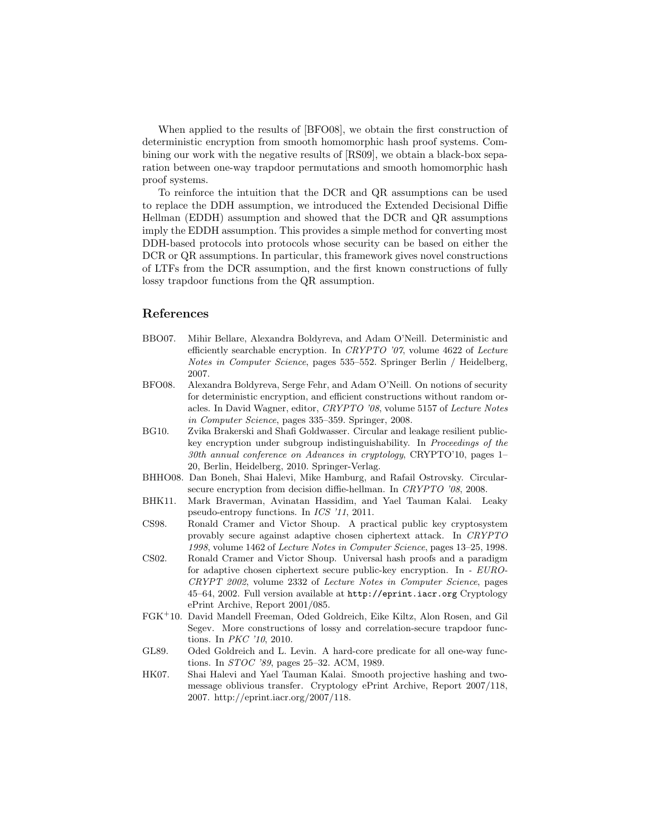When applied to the results of [\[BFO08\]](#page-15-5), we obtain the first construction of deterministic encryption from smooth homomorphic hash proof systems. Combining our work with the negative results of [\[RS09\]](#page-16-3), we obtain a black-box separation between one-way trapdoor permutations and smooth homomorphic hash proof systems.

To reinforce the intuition that the DCR and QR assumptions can be used to replace the DDH assumption, we introduced the Extended Decisional Diffie Hellman (EDDH) assumption and showed that the DCR and QR assumptions imply the EDDH assumption. This provides a simple method for converting most DDH-based protocols into protocols whose security can be based on either the DCR or QR assumptions. In particular, this framework gives novel constructions of LTFs from the DCR assumption, and the first known constructions of fully lossy trapdoor functions from the QR assumption.

# References

- <span id="page-15-6"></span>BBO07. Mihir Bellare, Alexandra Boldyreva, and Adam O'Neill. Deterministic and efficiently searchable encryption. In CRYPTO '07, volume 4622 of Lecture Notes in Computer Science, pages 535–552. Springer Berlin / Heidelberg, 2007.
- <span id="page-15-5"></span>BFO08. Alexandra Boldyreva, Serge Fehr, and Adam O'Neill. On notions of security for deterministic encryption, and efficient constructions without random oracles. In David Wagner, editor, CRYPTO '08, volume 5157 of Lecture Notes in Computer Science, pages 335–359. Springer, 2008.
- <span id="page-15-3"></span>BG10. Zvika Brakerski and Shafi Goldwasser. Circular and leakage resilient publickey encryption under subgroup indistinguishability. In Proceedings of the 30th annual conference on Advances in cryptology, CRYPTO'10, pages 1– 20, Berlin, Heidelberg, 2010. Springer-Verlag.
- <span id="page-15-4"></span>BHHO08. Dan Boneh, Shai Halevi, Mike Hamburg, and Rafail Ostrovsky. Circularsecure encryption from decision diffie-hellman. In CRYPTO '08, 2008.
- <span id="page-15-8"></span>BHK11. Mark Braverman, Avinatan Hassidim, and Yael Tauman Kalai. Leaky pseudo-entropy functions. In ICS '11, 2011.
- <span id="page-15-0"></span>CS98. Ronald Cramer and Victor Shoup. A practical public key cryptosystem provably secure against adaptive chosen ciphertext attack. In CRYPTO 1998, volume 1462 of Lecture Notes in Computer Science, pages 13–25, 1998.
- <span id="page-15-1"></span>CS02. Ronald Cramer and Victor Shoup. Universal hash proofs and a paradigm for adaptive chosen ciphertext secure public-key encryption. In - EURO-CRYPT 2002, volume 2332 of Lecture Notes in Computer Science, pages 45–64, 2002. Full version available at http://eprint.iacr.org Cryptology ePrint Archive, Report 2001/085.
- <span id="page-15-9"></span>FGK<sup>+</sup>10. David Mandell Freeman, Oded Goldreich, Eike Kiltz, Alon Rosen, and Gil Segev. More constructions of lossy and correlation-secure trapdoor functions. In PKC '10, 2010.
- <span id="page-15-7"></span>GL89. Oded Goldreich and L. Levin. A hard-core predicate for all one-way functions. In STOC '89, pages 25–32. ACM, 1989.
- <span id="page-15-2"></span>HK07. Shai Halevi and Yael Tauman Kalai. Smooth projective hashing and twomessage oblivious transfer. Cryptology ePrint Archive, Report 2007/118, 2007. http://eprint.iacr.org/2007/118.